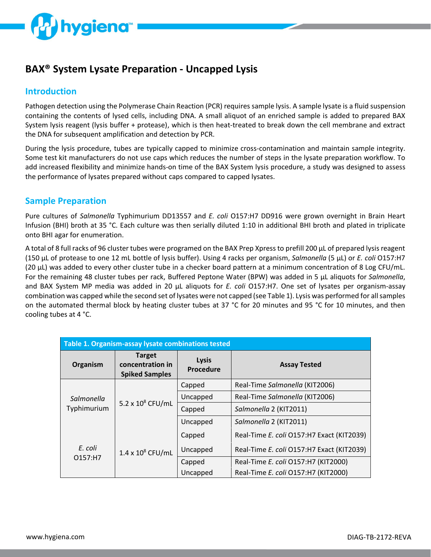

# **BAX® System Lysate Preparation - Uncapped Lysis**

### **Introduction**

Pathogen detection using the Polymerase Chain Reaction (PCR) requires sample lysis. A sample lysate is a fluid suspension containing the contents of lysed cells, including DNA. A small aliquot of an enriched sample is added to prepared BAX System lysis reagent (lysis buffer + protease), which is then heat-treated to break down the cell membrane and extract the DNA for subsequent amplification and detection by PCR.

During the lysis procedure, tubes are typically capped to minimize cross-contamination and maintain sample integrity. Some test kit manufacturers do not use caps which reduces the number of steps in the lysate preparation workflow. To add increased flexibility and minimize hands-on time of the BAX System lysis procedure, a study was designed to assess the performance of lysates prepared without caps compared to capped lysates.

#### **Sample Preparation**

Pure cultures of *Salmonella* Typhimurium DD13557 and *E. coli* O157:H7 DD916 were grown overnight in Brain Heart Infusion (BHI) broth at 35 °C. Each culture was then serially diluted 1:10 in additional BHI broth and plated in triplicate onto BHI agar for enumeration.

A total of 8 full racks of 96 cluster tubes were programed on the BAX Prep Xpress to prefill 200 µL of prepared lysis reagent (150 µL of protease to one 12 mL bottle of lysis buffer). Using 4 racks per organism, *Salmonella* (5 µL) or *E. coli* O157:H7 (20 µL) was added to every other cluster tube in a checker board pattern at a minimum concentration of 8 Log CFU/mL. For the remaining 48 cluster tubes per rack, Buffered Peptone Water (BPW) was added in 5 µL aliquots for *Salmonella*, and BAX System MP media was added in 20 µL aliquots for *E. coli* O157:H7. One set of lysates per organism-assay combination was capped while the second set of lysates were not capped (see Table 1). Lysis was performed for all samples on the automated thermal block by heating cluster tubes at 37 °C for 20 minutes and 95 °C for 10 minutes, and then cooling tubes at 4 °C.

| Table 1. Organism-assay lysate combinations tested |                                                            |                                  |                                           |  |  |  |
|----------------------------------------------------|------------------------------------------------------------|----------------------------------|-------------------------------------------|--|--|--|
| Organism                                           | <b>Target</b><br>concentration in<br><b>Spiked Samples</b> | <b>Lysis</b><br><b>Procedure</b> | <b>Assay Tested</b>                       |  |  |  |
| Salmonella<br>Typhimurium                          | $5.2 \times 10^8$ CFU/mL                                   | Capped                           | Real-Time Salmonella (KIT2006)            |  |  |  |
|                                                    |                                                            | Uncapped                         | Real-Time Salmonella (KIT2006)            |  |  |  |
|                                                    |                                                            | Capped                           | Salmonella 2 (KIT2011)                    |  |  |  |
|                                                    |                                                            | Uncapped                         | Salmonella 2 (KIT2011)                    |  |  |  |
| E. coli<br>O157:H7                                 | $1.4 \times 10^8$ CFU/mL                                   | Capped                           | Real-Time E. coli O157:H7 Exact (KIT2039) |  |  |  |
|                                                    |                                                            | Uncapped                         | Real-Time E. coli O157:H7 Exact (KIT2039) |  |  |  |
|                                                    |                                                            | Capped                           | Real-Time E. coli O157:H7 (KIT2000)       |  |  |  |
|                                                    |                                                            | Uncapped                         | Real-Time E. coli O157:H7 (KIT2000)       |  |  |  |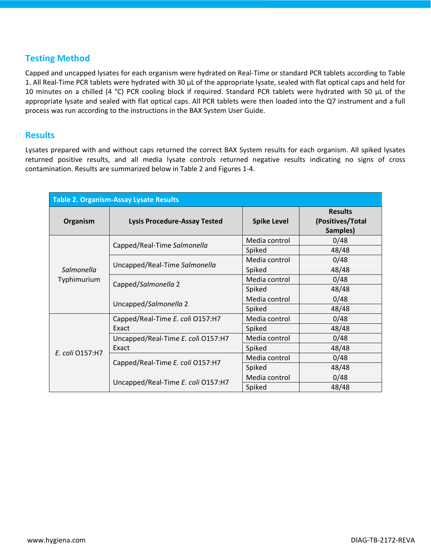## **Testing Method**

Capped and uncapped lysates for each organism were hydrated on Real-Time or standard PCR tablets according to Table 1. All Real-Time PCR tablets were hydrated with 30 µL of the appropriate lysate, sealed with flat optical caps and held for 10 minutes on a chilled (4 °C) PCR cooling block if required. Standard PCR tablets were hydrated with 50 µL of the appropriate lysate and sealed with flat optical caps. All PCR tablets were then loaded into the Q7 instrument and a full process was run according to the instructions in the BAX System User Guide.

#### **Results**

Lysates prepared with and without caps returned the correct BAX System results for each organism. All spiked lysates returned positive results, and all media lysate controls returned negative results indicating no signs of cross contamination. Results are summarized below in Table 2 and Figures 1-4.

| <b>Table 2. Organism-Assay Lysate Results</b> |                                     |                    |                                                |  |  |
|-----------------------------------------------|-------------------------------------|--------------------|------------------------------------------------|--|--|
| Organism                                      | <b>Lysis Procedure-Assay Tested</b> | <b>Spike Level</b> | <b>Results</b><br>(Positives/Total<br>Samples) |  |  |
| Salmonella<br>Typhimurium                     | Capped/Real-Time Salmonella         | Media control      | 0/48                                           |  |  |
|                                               |                                     | Spiked             | 48/48                                          |  |  |
|                                               | Uncapped/Real-Time Salmonella       | Media control      | 0/48                                           |  |  |
|                                               |                                     | Spiked             | 48/48                                          |  |  |
|                                               |                                     | Media control      | 0/48                                           |  |  |
|                                               | Capped/Salmonella 2                 | Spiked             | 48/48                                          |  |  |
|                                               |                                     | Media control      | 0/48                                           |  |  |
|                                               | Uncapped/Salmonella 2               | Spiked             | 48/48                                          |  |  |
| E. coli 0157:H7                               | Capped/Real-Time E. coli O157:H7    | Media control      | 0/48                                           |  |  |
|                                               | Exact                               | Spiked             | 48/48                                          |  |  |
|                                               | Uncapped/Real-Time E. coli O157:H7  | Media control      | 0/48                                           |  |  |
|                                               | Exact                               | Spiked             | 48/48                                          |  |  |
|                                               |                                     | Media control      | 0/48                                           |  |  |
|                                               | Capped/Real-Time E. coli O157:H7    | Spiked             | 48/48                                          |  |  |
|                                               |                                     | Media control      | 0/48                                           |  |  |
|                                               | Uncapped/Real-Time E. coli O157:H7  | Spiked             | 48/48                                          |  |  |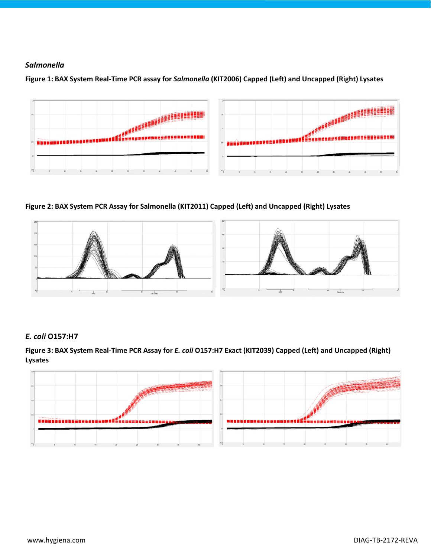#### *Salmonella*

**Figure 1: BAX System Real-Time PCR assay for** *Salmonella* **(KIT2006) Capped (Left) and Uncapped (Right) Lysates**



**Figure 2: BAX System PCR Assay for Salmonella (KIT2011) Capped (Left) and Uncapped (Right) Lysates**



#### *E. coli* **O157:H7**

**Figure 3: BAX System Real-Time PCR Assay for** *E. coli* **O157:H7 Exact (KIT2039) Capped (Left) and Uncapped (Right) Lysates**